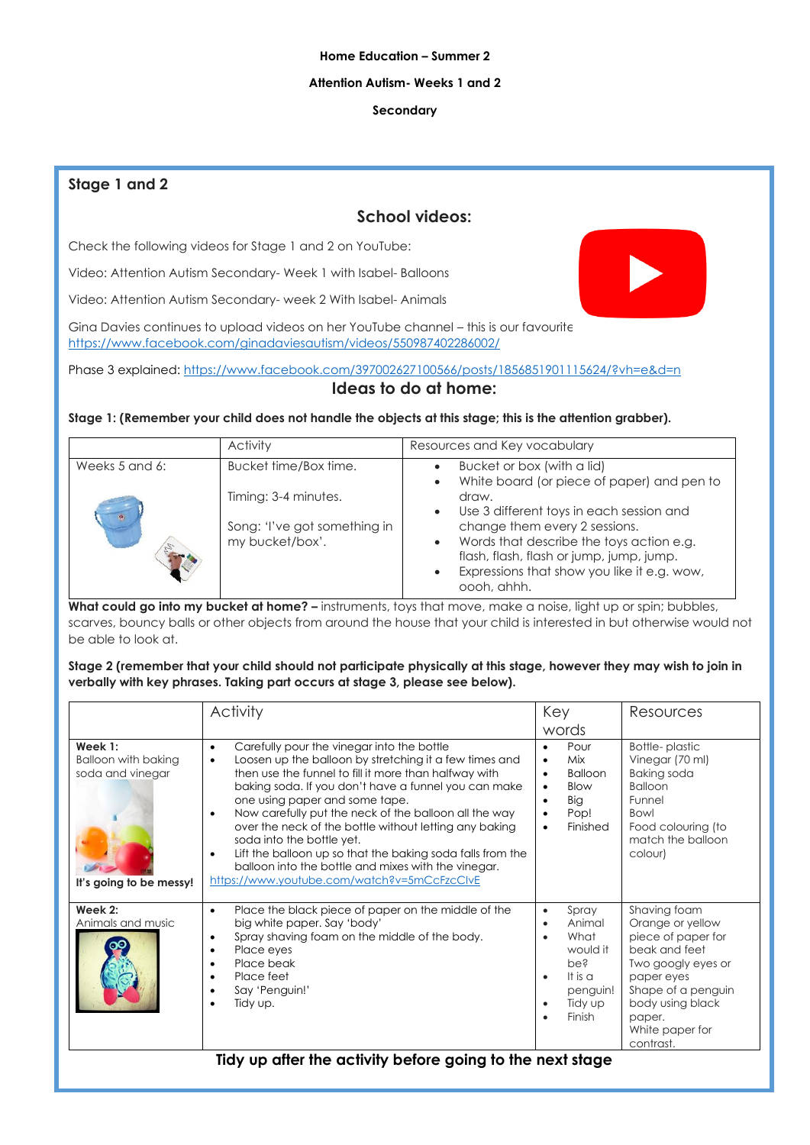### **Home Education – Summer 2**

### **Attention Autism- Weeks 1 and 2**

### **Secondary**

## **Stage 1 and 2**

# **School videos:**

Check the following videos for Stage 1 and 2 on YouTube:

Video: Attention Autism Secondary- Week 1 with Isabel- Balloons

Video: Attention Autism Secondary- week 2 With Isabel- Animals

Gina Davies continues to upload videos on her YouTube channel – this is our favourite <https://www.facebook.com/ginadaviesautism/videos/550987402286002/>

Phase 3 explained:<https://www.facebook.com/397002627100566/posts/1856851901115624/?vh=e&d=n> **Ideas to do at home:**

**Stage 1: (Remember your child does not handle the objects at this stage; this is the attention grabber).** 

|                | Activity                                             | Resources and Key vocabulary                                                                                                                       |
|----------------|------------------------------------------------------|----------------------------------------------------------------------------------------------------------------------------------------------------|
| Weeks 5 and 6: | Bucket time/Box time.                                | Bucket or box (with a lid)<br>White board (or piece of paper) and pen to                                                                           |
|                | Timing: 3-4 minutes.<br>Song: 'I've got something in | draw.<br>Use 3 different toys in each session and<br>change them every 2 sessions.                                                                 |
|                | my bucket/box'.                                      | Words that describe the toys action e.g.<br>flash, flash, flash or jump, jump, jump.<br>Expressions that show you like it e.g. wow,<br>oooh, ahhh. |

**What could go into my bucket at home? –** instruments, toys that move, make a noise, light up or spin; bubbles, scarves, bouncy balls or other objects from around the house that your child is interested in but otherwise would not be able to look at.

**Stage 2 (remember that your child should not participate physically at this stage, however they may wish to join in verbally with key phrases. Taking part occurs at stage 3, please see below).** 

|                                                                                      | Activity                                                                                                                                                                                                                                                                                                                                                                                                                                                                                                                                                                                                                        | Key                                                                                                                                                    | Resources                                                                                                                                                                                       |
|--------------------------------------------------------------------------------------|---------------------------------------------------------------------------------------------------------------------------------------------------------------------------------------------------------------------------------------------------------------------------------------------------------------------------------------------------------------------------------------------------------------------------------------------------------------------------------------------------------------------------------------------------------------------------------------------------------------------------------|--------------------------------------------------------------------------------------------------------------------------------------------------------|-------------------------------------------------------------------------------------------------------------------------------------------------------------------------------------------------|
|                                                                                      |                                                                                                                                                                                                                                                                                                                                                                                                                                                                                                                                                                                                                                 | words                                                                                                                                                  |                                                                                                                                                                                                 |
| Week 1:<br><b>Balloon with baking</b><br>soda and vinegar<br>It's going to be messy! | Carefully pour the vinegar into the bottle<br>$\bullet$<br>Loosen up the balloon by stretching it a few times and<br>$\bullet$<br>then use the funnel to fill it more than halfway with<br>baking soda. If you don't have a funnel you can make<br>one using paper and some tape.<br>Now carefully put the neck of the balloon all the way<br>$\bullet$<br>over the neck of the bottle without letting any baking<br>soda into the bottle yet.<br>Lift the balloon up so that the baking soda falls from the<br>$\bullet$<br>balloon into the bottle and mixes with the vinegar.<br>https://www.youtube.com/watch?v=5mCcFzcClvE | Pour<br>$\bullet$<br>Mix<br>$\bullet$<br><b>Balloon</b><br>$\bullet$<br>Blow<br>$\bullet$<br>Big<br>Pop!<br>٠<br>Finished<br>$\bullet$                 | <b>Bottle-plastic</b><br>Vinegar (70 ml)<br><b>Baking soda</b><br><b>Balloon</b><br>Funnel<br><b>Bowl</b><br>Food colouring (to<br>match the balloon<br>colour)                                 |
| Week 2:<br>Animals and music                                                         | Place the black piece of paper on the middle of the<br>$\bullet$<br>big white paper. Say 'body'<br>Spray shaving foam on the middle of the body.<br>$\bullet$<br>Place eyes<br>$\bullet$<br>Place beak<br>$\bullet$<br>Place feet<br>$\bullet$<br>Say 'Penguin!'<br>$\bullet$<br>Tidy up.<br>$\bullet$<br>Tidy up after the activity before going to the next stage                                                                                                                                                                                                                                                             | Spray<br>$\bullet$<br>Animal<br>$\bullet$<br>What<br>would it<br>pe?<br>It is $\alpha$<br>$\bullet$<br>penguin!<br>Tidy up<br>$\bullet$<br>Finish<br>٠ | Shaving foam<br>Orange or yellow<br>piece of paper for<br>beak and feet<br>Two googly eyes or<br>paper eyes<br>Shape of a penguin<br>body using black<br>paper.<br>White paper for<br>contrast. |

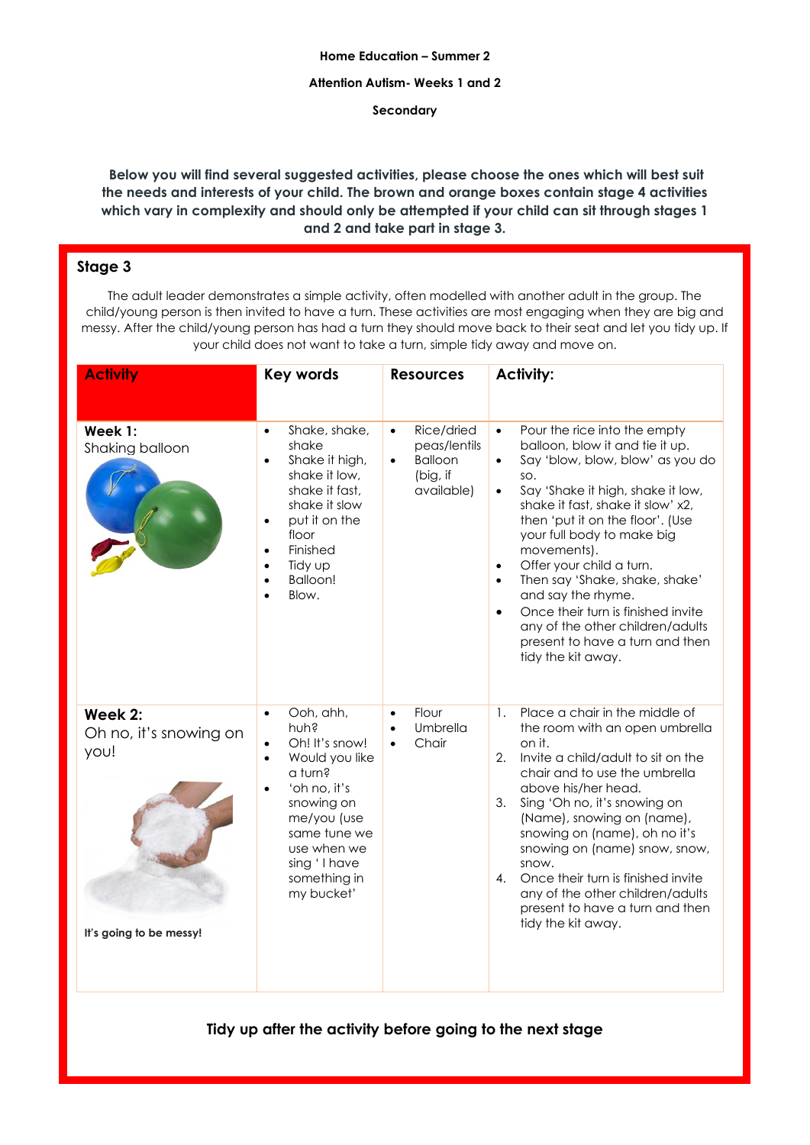### **Home Education – Summer 2**

### **Attention Autism- Weeks 1 and 2**

**Secondary**

**Below you will find several suggested activities, please choose the ones which will best suit the needs and interests of your child. The brown and orange boxes contain stage 4 activities which vary in complexity and should only be attempted if your child can sit through stages 1 and 2 and take part in stage 3.** 

# **Stage 3**

The adult leader demonstrates a simple activity, often modelled with another adult in the group. The child/young person is then invited to have a turn. These activities are most engaging when they are big and messy. After the child/young person has had a turn they should move back to their seat and let you tidy up. If your child does not want to take a turn, simple tidy away and move on.

| <b>Activity</b>                                                      | <b>Key words</b>                                                                                                                                                                                                                           | <b>Resources</b>                                                                                 | <b>Activity:</b>                                                                                                                                                                                                                                                                                                                                                                                                                                                                                                                                                           |
|----------------------------------------------------------------------|--------------------------------------------------------------------------------------------------------------------------------------------------------------------------------------------------------------------------------------------|--------------------------------------------------------------------------------------------------|----------------------------------------------------------------------------------------------------------------------------------------------------------------------------------------------------------------------------------------------------------------------------------------------------------------------------------------------------------------------------------------------------------------------------------------------------------------------------------------------------------------------------------------------------------------------------|
| Week 1:<br>Shaking balloon                                           | Shake, shake,<br>$\bullet$<br>shake<br>Shake it high,<br>shake it low,<br>shake it fast,<br>shake it slow<br>put it on the<br>floor<br>Finished<br>$\bullet$<br>Tidy up<br>$\bullet$<br><b>Balloon!</b><br>$\bullet$<br>Blow.<br>$\bullet$ | Rice/dried<br>$\bullet$<br>peas/lentils<br><b>Balloon</b><br>$\bullet$<br>(big, if<br>available) | Pour the rice into the empty<br>$\bullet$<br>balloon, blow it and tie it up.<br>Say 'blow, blow, blow' as you do<br>$\bullet$<br>SO.<br>Say 'Shake it high, shake it low,<br>$\bullet$<br>shake it fast, shake it slow' x2,<br>then 'put it on the floor'. (Use<br>your full body to make big<br>movements).<br>Offer your child a turn.<br>$\bullet$<br>Then say 'Shake, shake, shake'<br>$\bullet$<br>and say the rhyme.<br>Once their turn is finished invite<br>$\bullet$<br>any of the other children/adults<br>present to have a turn and then<br>tidy the kit away. |
| Week 2:<br>Oh no, it's snowing on<br>you!<br>It's going to be messy! | Ooh, ahh,<br>$\bullet$<br>huh?<br>Oh! It's snow!<br>Would you like<br>a turn?<br>'oh no, it's<br>$\bullet$<br>snowing on<br>me/you (use<br>same tune we<br>use when we<br>sing 'I have<br>something in<br>my bucket'                       | Flour<br>$\bullet$<br>Umbrella<br>$\bullet$<br>Chair<br>$\bullet$                                | Place a chair in the middle of<br>$\mathbf{1}$ .<br>the room with an open umbrella<br>on it.<br>2. Invite a child/adult to sit on the<br>chair and to use the umbrella<br>above his/her head.<br>Sing 'Oh no, it's snowing on<br>3.<br>(Name), snowing on (name),<br>snowing on (name), oh no it's<br>snowing on (name) snow, snow,<br>snow.<br>Once their turn is finished invite<br>4.<br>any of the other children/adults<br>present to have a turn and then<br>tidy the kit away.                                                                                      |

**Tidy up after the activity before going to the next stage**

2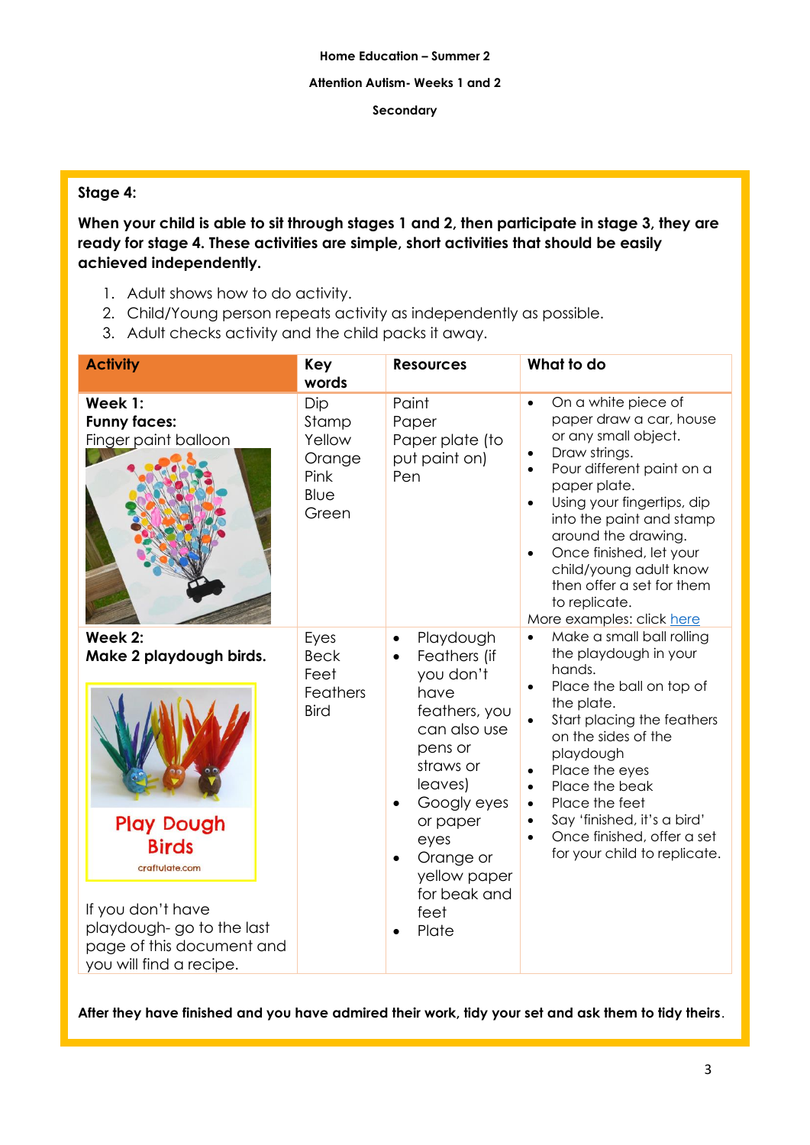## **Attention Autism- Weeks 1 and 2**

## **Secondary**

# **Stage 4:**

**When your child is able to sit through stages 1 and 2, then participate in stage 3, they are ready for stage 4. These activities are simple, short activities that should be easily achieved independently.** 

- 1. Adult shows how to do activity.
- 2. Child/Young person repeats activity as independently as possible.
- 3. Adult checks activity and the child packs it away.

| <b>Activity</b>                                                                                                                                                                                    | Key<br>words                                              | <b>Resources</b>                                                                                                                                                                                                                                           | What to do                                                                                                                                                                                                                                                                                                                                                                                                             |
|----------------------------------------------------------------------------------------------------------------------------------------------------------------------------------------------------|-----------------------------------------------------------|------------------------------------------------------------------------------------------------------------------------------------------------------------------------------------------------------------------------------------------------------------|------------------------------------------------------------------------------------------------------------------------------------------------------------------------------------------------------------------------------------------------------------------------------------------------------------------------------------------------------------------------------------------------------------------------|
| Week 1:<br><b>Funny faces:</b><br>Finger paint balloon                                                                                                                                             | Dip<br>Stamp<br>Yellow<br>Orange<br>Pink<br>Blue<br>Green | Paint<br>Paper<br>Paper plate (to<br>put paint on)<br>Pen                                                                                                                                                                                                  | On a white piece of<br>$\bullet$<br>paper draw a car, house<br>or any small object.<br>Draw strings.<br>$\bullet$<br>Pour different paint on a<br>$\bullet$<br>paper plate.<br>Using your fingertips, dip<br>$\bullet$<br>into the paint and stamp<br>around the drawing.<br>Once finished, let your<br>$\bullet$<br>child/young adult know<br>then offer a set for them<br>to replicate.<br>More examples: click here |
| Week 2:<br>Make 2 playdough birds.<br><b>Play Dough</b><br><b>Birds</b><br>craftulate.com<br>If you don't have<br>playdough-go to the last<br>page of this document and<br>you will find a recipe. | Eyes<br><b>Beck</b><br>Feet<br>Feathers<br><b>Bird</b>    | Playdough<br>$\bullet$<br>Feathers (if<br>$\bullet$<br>you don't<br>have<br>feathers, you<br>can also use<br>pens or<br>straws or<br>leaves)<br>Googly eyes<br>or paper<br>eyes<br>Orange or<br>yellow paper<br>for beak and<br>feet<br>Plate<br>$\bullet$ | Make a small ball rolling<br>$\bullet$<br>the playdough in your<br>hands.<br>Place the ball on top of<br>$\bullet$<br>the plate.<br>Start placing the feathers<br>on the sides of the<br>playdough<br>Place the eyes<br>$\bullet$<br>Place the beak<br>$\bullet$<br>Place the feet<br>$\bullet$<br>Say 'finished, it's a bird'<br>$\bullet$<br>Once finished, offer a set<br>$\bullet$<br>for your child to replicate. |

**After they have finished and you have admired their work, tidy your set and ask them to tidy theirs**.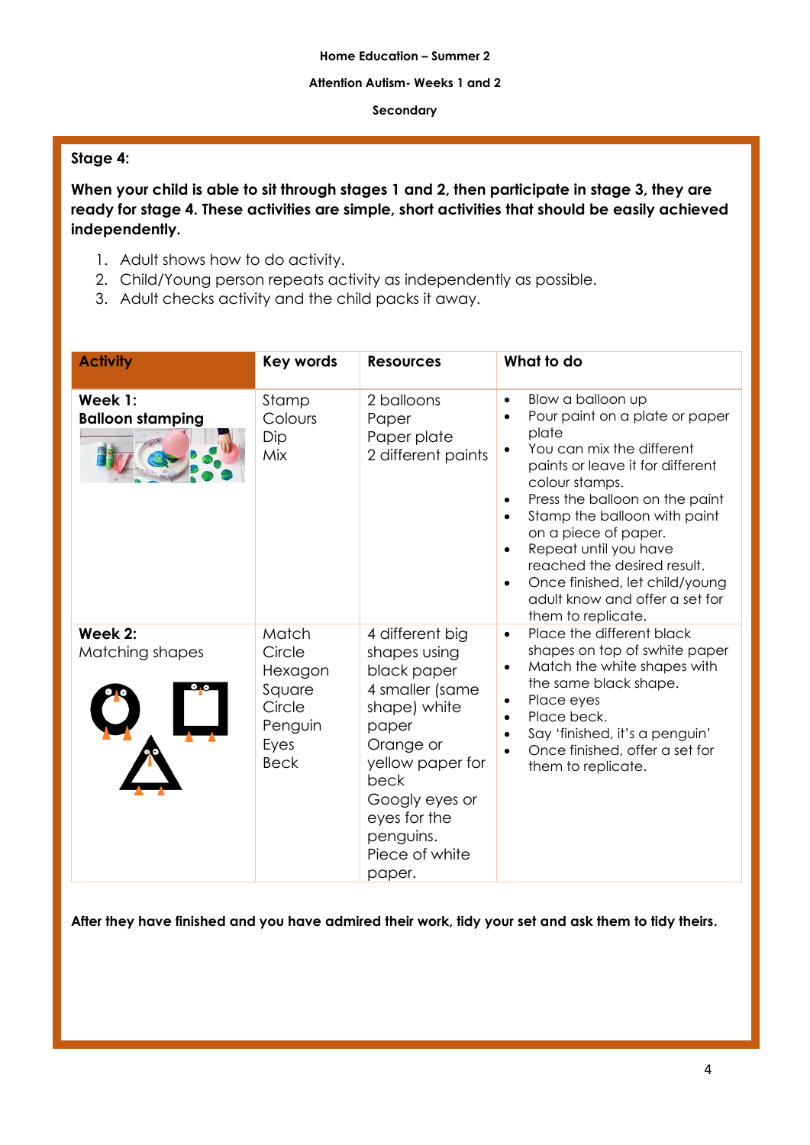### **Attention Autism- Weeks 1 and 2**

### **Secondary**

# **Stage 4:**

**When your child is able to sit through stages 1 and 2, then participate in stage 3, they are ready for stage 4. These activities are simple, short activities that should be easily achieved independently.** 

- 1. Adult shows how to do activity.
- 2. Child/Young person repeats activity as independently as possible.
- 3. Adult checks activity and the child packs it away.

| <b>Activity</b>                    | <b>Key words</b>                                                                 | <b>Resources</b>                                                                                                                                                                                               | What to do                                                                                                                                                                                                                                                                                                                                                                                                                                                   |
|------------------------------------|----------------------------------------------------------------------------------|----------------------------------------------------------------------------------------------------------------------------------------------------------------------------------------------------------------|--------------------------------------------------------------------------------------------------------------------------------------------------------------------------------------------------------------------------------------------------------------------------------------------------------------------------------------------------------------------------------------------------------------------------------------------------------------|
| Week 1:<br><b>Balloon stamping</b> | Stamp<br>Colours<br>Dip<br>Mix                                                   | 2 balloons<br>Paper<br>Paper plate<br>2 different paints                                                                                                                                                       | Blow a balloon up<br>$\bullet$<br>Pour paint on a plate or paper<br>plate<br>You can mix the different<br>paints or leave it for different<br>colour stamps.<br>Press the balloon on the paint<br>$\bullet$<br>Stamp the balloon with paint<br>$\bullet$<br>on a piece of paper.<br>Repeat until you have<br>$\bullet$<br>reached the desired result.<br>Once finished, let child/young<br>$\bullet$<br>adult know and offer a set for<br>them to replicate. |
| Week 2:<br>Matching shapes         | Match<br>Circle<br>Hexagon<br>Square<br>Circle<br>Penguin<br>Eyes<br><b>Beck</b> | 4 different big<br>shapes using<br>black paper<br>4 smaller (same<br>shape) white<br>paper<br>Orange or<br>yellow paper for<br>beck<br>Googly eyes or<br>eyes for the<br>penguins.<br>Piece of white<br>paper. | Place the different black<br>$\bullet$<br>shapes on top of swhite paper<br>Match the white shapes with<br>$\bullet$<br>the same black shape.<br>Place eyes<br>$\bullet$<br>Place beck.<br>$\bullet$<br>Say 'finished, it's a penguin'<br>$\bullet$<br>Once finished, offer a set for<br>$\bullet$<br>them to replicate.                                                                                                                                      |

**After they have finished and you have admired their work, tidy your set and ask them to tidy theirs.**